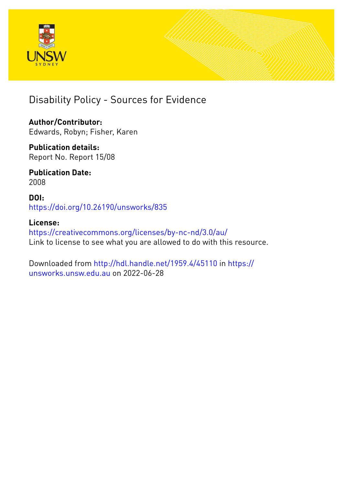



**Author/Contributor:** Edwards, Robyn; Fisher, Karen

**Publication details:** Report No. Report 15/08

**Publication Date:** 2008

**DOI:** [https://doi.org/10.26190/unsworks/835](http://dx.doi.org/https://doi.org/10.26190/unsworks/835)

**License:** <https://creativecommons.org/licenses/by-nc-nd/3.0/au/> Link to license to see what you are allowed to do with this resource.

Downloaded from <http://hdl.handle.net/1959.4/45110> in [https://](https://unsworks.unsw.edu.au) [unsworks.unsw.edu.au](https://unsworks.unsw.edu.au) on 2022-06-28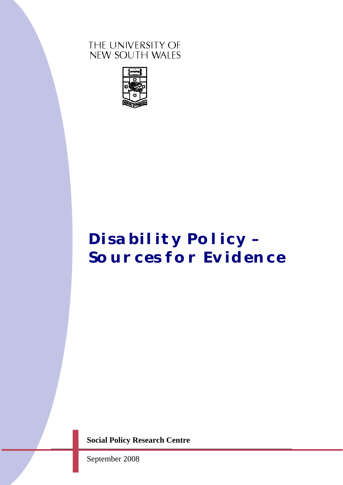# THE UNIVERSITY OF NEW SOUTH WALES



# *Disability Policy – Sources for Evidence*

**Social Policy Research Centre** 

September 2008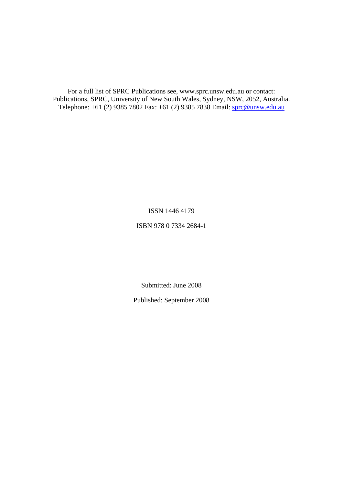For a full list of SPRC Publications see, www.sprc.unsw.edu.au or contact: Publications, SPRC, University of New South Wales, Sydney, NSW, 2052, Australia. Telephone: +61 (2) 9385 7802 Fax: +61 (2) 9385 7838 Email: [sprc@unsw.edu.au](mailto:sprc@unsw.edu.au)

ISSN 1446 4179

ISBN 978 0 7334 2684-1

Submitted: June 2008

Published: September 2008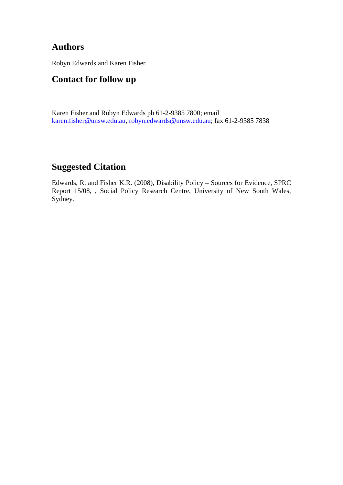# **Authors**

Robyn Edwards and Karen Fisher

# **Contact for follow up**

Karen Fisher and Robyn Edwards ph 61-2-9385 7800; email [karen.fisher@unsw.edu.au,](mailto:karen.fisher@unsw.edu.au) [robyn.edwards@unsw.edu.au](mailto:robyn.edwards@unsw.edu.au); fax 61-2-9385 7838

# **Suggested Citation**

Edwards, R. and Fisher K.R. (2008), Disability Policy – Sources for Evidence, SPRC Report 15/08, , Social Policy Research Centre, University of New South Wales, Sydney.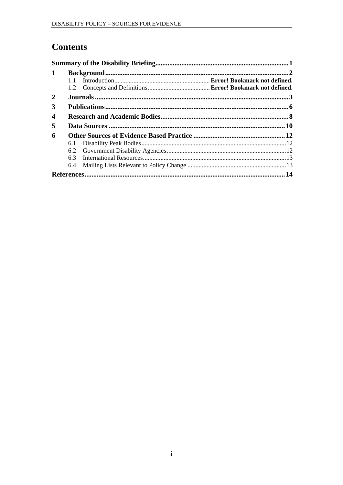# **Contents**

| $\mathbf 1$      |     |  |      |
|------------------|-----|--|------|
|                  | 11  |  |      |
|                  |     |  |      |
| 2                |     |  |      |
| 3                |     |  |      |
| $\boldsymbol{4}$ |     |  |      |
| 5                |     |  |      |
| 6                |     |  |      |
|                  | 6.1 |  |      |
|                  |     |  |      |
|                  | 6.3 |  |      |
|                  | 6.4 |  |      |
|                  |     |  | . 14 |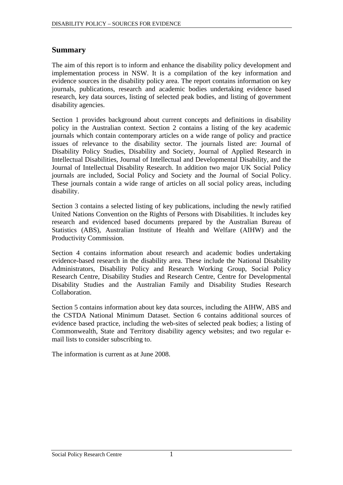# <span id="page-5-0"></span>**Summary**

The aim of this report is to inform and enhance the disability policy development and implementation process in NSW. It is a compilation of the key information and evidence sources in the disability policy area. The report contains information on key journals, publications, research and academic bodies undertaking evidence based research, key data sources, listing of selected peak bodies, and listing of government disability agencies.

Section 1 provides background about current concepts and definitions in disability policy in the Australian context. Section 2 contains a listing of the key academic journals which contain contemporary articles on a wide range of policy and practice issues of relevance to the disability sector. The journals listed are: Journal of Disability Policy Studies, Disability and Society, Journal of Applied Research in Intellectual Disabilities, Journal of Intellectual and Developmental Disability, and the Journal of Intellectual Disability Research. In addition two major UK Social Policy journals are included, Social Policy and Society and the Journal of Social Policy. These journals contain a wide range of articles on all social policy areas, including disability.

Section 3 contains a selected listing of key publications, including the newly ratified United Nations Convention on the Rights of Persons with Disabilities. It includes key research and evidenced based documents prepared by the Australian Bureau of Statistics (ABS), Australian Institute of Health and Welfare (AIHW) and the Productivity Commission.

Section 4 contains information about research and academic bodies undertaking evidence-based research in the disability area. These include the National Disability Administrators, Disability Policy and Research Working Group, Social Policy Research Centre, Disability Studies and Research Centre, Centre for Developmental Disability Studies and the Australian Family and Disability Studies Research Collaboration.

Section 5 contains information about key data sources, including the AIHW, ABS and the CSTDA National Minimum Dataset. Section 6 contains additional sources of evidence based practice, including the web-sites of selected peak bodies; a listing of Commonwealth, State and Territory disability agency websites; and two regular email lists to consider subscribing to.

The information is current as at June 2008.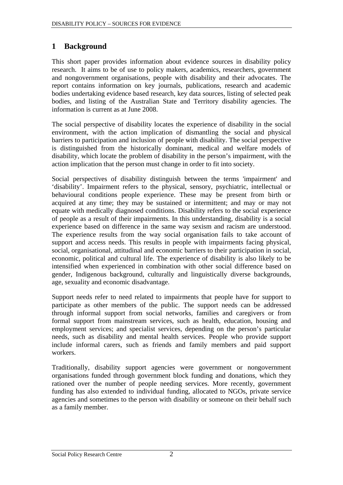# <span id="page-6-0"></span>**1 Background**

This short paper provides information about evidence sources in disability policy research. It aims to be of use to policy makers, academics, researchers, government and nongovernment organisations, people with disability and their advocates. The report contains information on key journals, publications, research and academic bodies undertaking evidence based research, key data sources, listing of selected peak bodies, and listing of the Australian State and Territory disability agencies. The information is current as at June 2008.

The social perspective of disability locates the experience of disability in the social environment, with the action implication of dismantling the social and physical barriers to participation and inclusion of people with disability. The social perspective is distinguished from the historically dominant, medical and welfare models of disability, which locate the problem of disability in the person's impairment, with the action implication that the person must change in order to fit into society.

Social perspectives of disability distinguish between the terms 'impairment' and 'disability'. Impairment refers to the physical, sensory, psychiatric, intellectual or behavioural conditions people experience. These may be present from birth or acquired at any time; they may be sustained or intermittent; and may or may not equate with medically diagnosed conditions. Disability refers to the social experience of people as a result of their impairments. In this understanding, disability is a social experience based on difference in the same way sexism and racism are understood. The experience results from the way social organisation fails to take account of support and access needs. This results in people with impairments facing physical, social, organisational, attitudinal and economic barriers to their participation in social, economic, political and cultural life. The experience of disability is also likely to be intensified when experienced in combination with other social difference based on gender, Indigenous background, culturally and linguistically diverse backgrounds, age, sexuality and economic disadvantage.

Support needs refer to need related to impairments that people have for support to participate as other members of the public. The support needs can be addressed through informal support from social networks, families and caregivers or from formal support from mainstream services, such as health, education, housing and employment services; and specialist services, depending on the person's particular needs, such as disability and mental health services. People who provide support include informal carers, such as friends and family members and paid support workers.

Traditionally, disability support agencies were government or nongovernment organisations funded through government block funding and donations, which they rationed over the number of people needing services. More recently, government funding has also extended to individual funding, allocated to NGOs, private service agencies and sometimes to the person with disability or someone on their behalf such as a family member.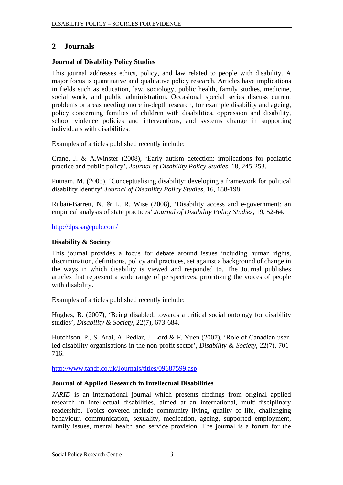# <span id="page-7-0"></span>**2 Journals**

#### **Journal of Disability Policy Studies**

This journal addresses ethics, policy, and law related to people with disability. A major focus is quantitative and qualitative policy research. Articles have implications in fields such as education, law, sociology, public health, family studies, medicine, social work, and public administration. Occasional special series discuss current problems or areas needing more in-depth research, for example disability and ageing, policy concerning families of children with disabilities, oppression and disability, school violence policies and interventions, and systems change in supporting individuals with disabilities.

Examples of articles published recently include:

Crane, J. & A.Winster (2008), 'Early autism detection: implications for pediatric practice and public policy', *Journal of Disability Policy Studies,* 18, 245-253.

Putnam, M. (2005), 'Conceptualising disability: developing a framework for political disability identity' *Journal of Disability Policy Studies,* 16, 188-198.

Rubaii-Barrett, N. & L. R. Wise (2008), 'Disability access and e-government: an empirical analysis of state practices' *Journal of Disability Policy Studies,* 19, 52-64.

<http://dps.sagepub.com/>

#### **Disability & Society**

This journal provides a focus for debate around issues including human rights, discrimination, definitions, policy and practices, set against a background of change in the ways in which disability is viewed and responded to. The Journal publishes articles that represent a wide range of perspectives, prioritizing the voices of people with disability.

Examples of articles published recently include:

Hughes, B. (2007), 'Being disabled: towards a critical social ontology for disability studies', *Disability & Society,* 22(7), 673-684.

Hutchison, P., S. Arai, A. Pedlar, J. Lord & F. Yuen (2007), 'Role of Canadian userled disability organisations in the non-profit sector', *Disability & Society,* 22(7), 701- 716.

<http://www.tandf.co.uk/Journals/titles/09687599.asp>

## **Journal of Applied Research in Intellectual Disabilities**

*JARID* is an international journal which presents findings from original applied research in intellectual disabilities, aimed at an international, multi-disciplinary readership. Topics covered include community living, quality of life, challenging behaviour, communication, sexuality, medication, ageing, supported employment, family issues, mental health and service provision. The journal is a forum for the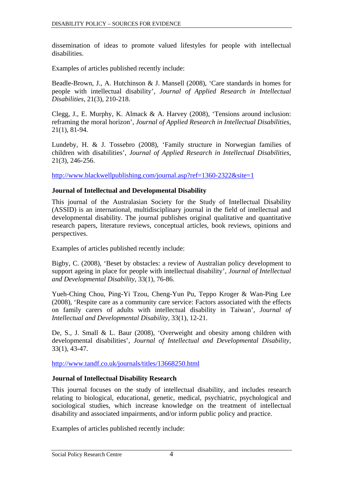dissemination of ideas to promote valued lifestyles for people with intellectual disabilities.

Examples of articles published recently include:

Beadle-Brown, J., A. Hutchinson & J. Mansell (2008), 'Care standards in homes for people with intellectual disability', *Journal of Applied Research in Intellectual Disabilities,* 21(3), 210-218.

Clegg, J., E. Murphy, K. Almack & A. Harvey (2008), 'Tensions around inclusion: reframing the moral horizon', *Journal of Applied Research in Intellectual Disabilities,* 21(1), 81-94.

Lundeby, H. & J. Tossebro (2008), 'Family structure in Norwegian families of children with disabilities', *Journal of Applied Research in Intellectual Disabilities,* 21(3), 246-256.

<http://www.blackwellpublishing.com/journal.asp?ref=1360-2322&site=1>

#### **Journal of Intellectual and Developmental Disability**

This journal of the Australasian Society for the Study of Intellectual Disability (ASSID) is an international, multidisciplinary journal in the field of intellectual and developmental disability. The journal publishes original qualitative and quantitative research papers, literature reviews, conceptual articles, book reviews, opinions and perspectives.

Examples of articles published recently include:

Bigby, C. (2008), 'Beset by obstacles: a review of Australian policy development to support ageing in place for people with intellectual disability', *Journal of Intellectual and Developmental Disability,* 33(1), 76-86.

Yueh-Ching Chou, Ping-Yi Tzou, Cheng-Yun Pu, Teppo Kroger & Wan-Ping Lee (2008), 'Respite care as a community care service: Factors associated with the effects on family carers of adults with intellectual disability in Taiwan', *Journal of Intellectual and Developmental Disability,* 33(1), 12-21.

De, S., J. Small & L. Baur (2008), 'Overweight and obesity among children with developmental disabilities', *Journal of Intellectual and Developmental Disability,* 33(1), 43-47.

<http://www.tandf.co.uk/journals/titles/13668250.html>

## **Journal of Intellectual Disability Research**

This journal focuses on the study of intellectual disability, and includes research relating to biological, educational, genetic, medical, psychiatric, psychological and sociological studies, which increase knowledge on the treatment of intellectual disability and associated impairments, and/or inform public policy and practice.

Examples of articles published recently include: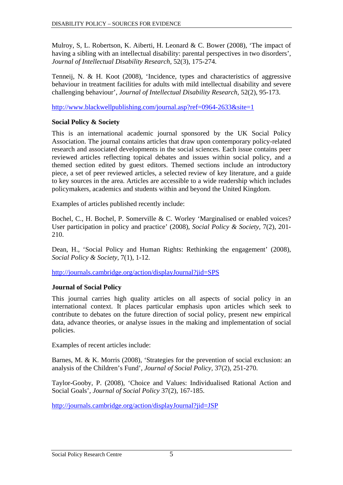Mulroy, S, L. Robertson, K. Aiberti, H. Leonard & C. Bower (2008), 'The impact of having a sibling with an intellectual disability: parental perspectives in two disorders', *Journal of Intellectual Disability Research,* 52(3), 175-274.

Tenneij, N. & H. Koot (2008), 'Incidence, types and characteristics of aggressive behaviour in treatment facilities for adults with mild intellectual disability and severe challenging behaviour', *Journal of Intellectual Disability Research,* 52(2), 95-173.

<http://www.blackwellpublishing.com/journal.asp?ref=0964-2633&site=1>

## **Social Policy & Society**

This is an international academic journal sponsored by the UK Social Policy Association. The journal contains articles that draw upon contemporary policy-related research and associated developments in the social sciences. Each issue contains peer reviewed articles reflecting topical debates and issues within social policy, and a themed section edited by guest editors. Themed sections include an introductory piece, a set of peer reviewed articles, a selected review of key literature, and a guide to key sources in the area. Articles are accessible to a wide readership which includes policymakers, academics and students within and beyond the United Kingdom.

Examples of articles published recently include:

Bochel, C., H. Bochel, P. Somerville & C. Worley 'Marginalised or enabled voices? User participation in policy and practice' (2008), *Social Policy & Society,* 7(2), 201- 210.

Dean, H., 'Social Policy and Human Rights: Rethinking the engagement' (2008), *Social Policy & Society,* 7(1), 1-12.

<http://journals.cambridge.org/action/displayJournal?jid=SPS>

## **Journal of Social Policy**

This journal carries high quality articles on all aspects of social policy in an international context. It places particular emphasis upon articles which seek to contribute to debates on the future direction of social policy, present new empirical data, advance theories, or analyse issues in the making and implementation of social policies.

Examples of recent articles include:

Barnes, M. & K. Morris (2008), 'Strategies for the prevention of social exclusion: an analysis of the Children's Fund', *Journal of Social Policy,* 37(2), 251-270.

Taylor-Gooby, P. (2008), 'Choice and Values: Individualised Rational Action and Social Goals', *Journal of Social Policy* 37(2), 167-185.

<http://journals.cambridge.org/action/displayJournal?jid=JSP>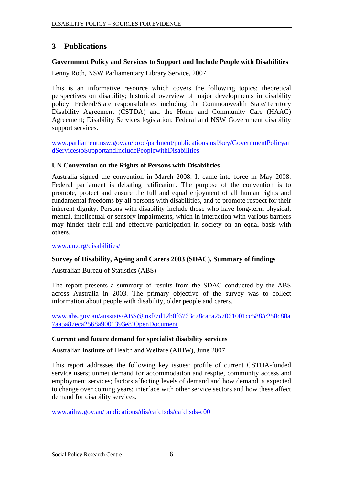# <span id="page-10-0"></span>**3 Publications**

#### **Government Policy and Services to Support and Include People with Disabilities**

Lenny Roth, NSW Parliamentary Library Service, 2007

This is an informative resource which covers the following topics: theoretical perspectives on disability; historical overview of major developments in disability policy; Federal/State responsibilities including the Commonwealth State/Territory Disability Agreement (CSTDA) and the Home and Community Care (HAAC) Agreement; Disability Services legislation; Federal and NSW Government disability support services.

[www.parliament.nsw.gov.au/prod/parlment/publications.nsf/key/GovernmentPolicyan](http://www.parliament.nsw.gov.au/prod/parlment/publications.nsf/key/GovernmentPolicyandServicestoSupportandIncludePeoplewithDisabilities) [dServicestoSupportandIncludePeoplewithDisabilities](http://www.parliament.nsw.gov.au/prod/parlment/publications.nsf/key/GovernmentPolicyandServicestoSupportandIncludePeoplewithDisabilities)

#### **UN Convention on the Rights of Persons with Disabilities**

Australia signed the convention in March 2008. It came into force in May 2008. Federal parliament is debating ratification. The purpose of the convention is to promote, protect and ensure the full and equal enjoyment of all human rights and fundamental freedoms by all persons with disabilities, and to promote respect for their inherent dignity. Persons with disability include those who have long-term physical, mental, intellectual or sensory impairments, which in interaction with various barriers may hinder their full and effective participation in society on an equal basis with others.

[www.un.org/disabilities/](http://www.un.org/disabilities/)

## **Survey of Disability, Ageing and Carers 2003 (SDAC), Summary of findings**

Australian Bureau of Statistics (ABS)

The report presents a summary of results from the SDAC conducted by the ABS across Australia in 2003. The primary objective of the survey was to collect information about people with disability, older people and carers.

[www.abs.gov.au/ausstats/ABS@.nsf/7d12b0f6763c78caca257061001cc588/c258c88a](http://www.abs.gov.au/ausstats/ABS@.nsf/7d12b0f6763c78caca257061001cc588/c258c88a7aa5a87eca2568a9001393e8!OpenDocument) [7aa5a87eca2568a9001393e8!OpenDocument](http://www.abs.gov.au/ausstats/ABS@.nsf/7d12b0f6763c78caca257061001cc588/c258c88a7aa5a87eca2568a9001393e8!OpenDocument)

#### **Current and future demand for specialist disability services**

Australian Institute of Health and Welfare (AIHW), June 2007

This report addresses the following key issues: profile of current CSTDA-funded service users; unmet demand for accommodation and respite, community access and employment services; factors affecting levels of demand and how demand is expected to change over coming years; interface with other service sectors and how these affect demand for disability services.

[www.aihw.gov.au/publications/dis/cafdfsds/cafdfsds-c00](http://www.aihw.gov.au/publications/dis/cafdfsds/cafdfsds-c00)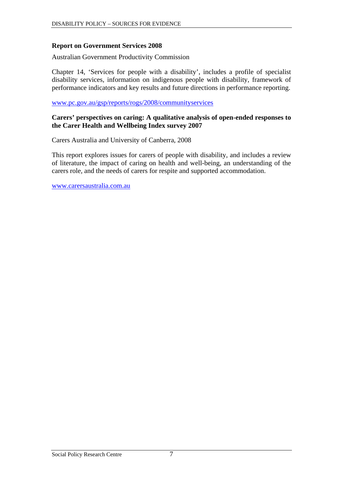#### **Report on Government Services 2008**

Australian Government Productivity Commission

Chapter 14, 'Services for people with a disability', includes a profile of specialist disability services, information on indigenous people with disability, framework of performance indicators and key results and future directions in performance reporting.

#### [www.pc.gov.au/gsp/reports/rogs/2008/communityservices](http://www.pc.gov.au/gsp/reports/rogs/2008/communityservices)

#### **Carers' perspectives on caring: A qualitative analysis of open-ended responses to the Carer Health and Wellbeing Index survey 2007**

Carers Australia and University of Canberra, 2008

This report explores issues for carers of people with disability, and includes a review of literature, the impact of caring on health and well-being, an understanding of the carers role, and the needs of carers for respite and supported accommodation.

[www.carersaustralia.com.au](http://www.carersaustralia.com.au/)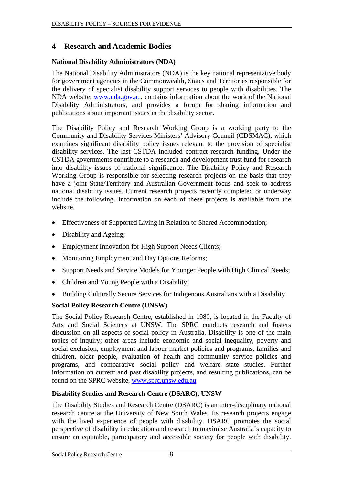# <span id="page-12-1"></span><span id="page-12-0"></span>**4 Research and Academic Bodies**

## **National Disability Administrators (NDA)**

The National Disability Administrators (NDA) is the key national representative body for government agencies in the Commonwealth, States and Territories responsible for the delivery of specialist disability support services to people with disabilities. The NDA website, [www.nda.gov.au,](http://www.nda.gov.au/) contains information about the work of the National Disability Administrators, and provides a forum for sharing information and publications about important issues in the disability sector.

The Disability Policy and Research Working Group is a working party to the Community and Disability Services Ministers' Advisory Council (CDSMAC), which examines significant disability policy issues relevant to the provision of specialist disability services. The last CSTDA included contract research funding. Under the CSTDA governments contribute to a research and development trust fund for research into disability issues of national significance. The Disability Policy and Research Working Group is responsible for selecting research projects on the basis that they have a joint State/Territory and Australian Government focus and seek to address national disability issues. Current research projects recently completed or underway include the following. Information on each of these projects is available from the website.

- Effectiveness of Supported Living in Relation to Shared Accommodation;
- Disability and Ageing;
- Employment Innovation for High Support Needs Clients;
- Monitoring Employment and Day Options Reforms:
- Support Needs and Service Models for Younger People with High Clinical Needs;
- Children and Young People with a Disability;
- Building Culturally Secure Services for Indigenous Australians with a Disability.

# **Social Policy Research Centre (UNSW)**

The Social Policy Research Centre, established in 1980, is located in the Faculty of Arts and Social Sciences at UNSW. The SPRC conducts research and fosters discussion on all aspects of social policy in Australia. Disability is one of the main topics of inquiry; other areas include economic and social inequality, poverty and social exclusion, employment and labour market policies and programs, families and children, older people, evaluation of health and community service policies and programs, and comparative social policy and welfare state studies. Further information on current and past disability projects, and resulting publications, can be found on the SPRC website, [www.sprc.unsw.edu.au](http://www.sprc.unsw.edu.au/)

# **Disability Studies and Research Centre (DSARC), UNSW**

The Disability Studies and Research Centre (DSARC) is an inter-disciplinary national research centre at the University of New South Wales. Its research projects engage with the lived experience of people with disability. DSARC promotes the social perspective of disability in education and research to maximise Australia's capacity to ensure an equitable, participatory and accessible society for people with disability.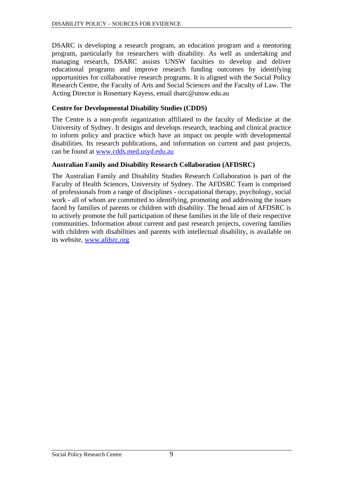DSARC is developing a research program, an education program and a mentoring program, particularly for researchers with disability. As well as undertaking and managing research, DSARC assists UNSW faculties to develop and deliver educational programs and improve research funding outcomes by identifying opportunities for collaborative research programs. It is aligned with the Social Policy Research Centre, the Faculty of Arts and Social Sciences and the Faculty of Law. The Acting Director is Rosemary Kayess, email dsarc@unsw.edu.au

#### **Centre for Developmental Disability Studies (CDDS)**

The Centre is a non-profit organization affiliated to the faculty of Medicine at the University of Sydney. It designs and develops research, teaching and clinical practice to inform policy and practice which have an impact on people with developmental disabilities. Its research publications, and information on current and past projects, can be found at [www.cdds.med.usyd.edu.au](http://www.cdds.med.usyd.edu.au/)

#### **Australian Family and Disability Research Collaboration (AFDSRC)**

The Australian Family and Disability Studies Research Collaboration is part of the [Faculty of Health Sciences](http://www.fhs.usyd.edu.au/), University of Sydney. [The AFDSRC Team](http://www.afdsrc.org/about/team.php) is comprised of professionals from a range of disciplines - occupational therapy, psychology, social work - all of whom are committed to identifying, promoting and addressing the issues faced by families of parents or children with disability. The broad aim of AFDSRC is to actively promote the full participation of these families in the life of their respective communities. Information about current and past research projects, covering families with children with disabilities and parents with intellectual disability, is available on its website, [www.afdsrc.org](http://www.afdsrc.org/)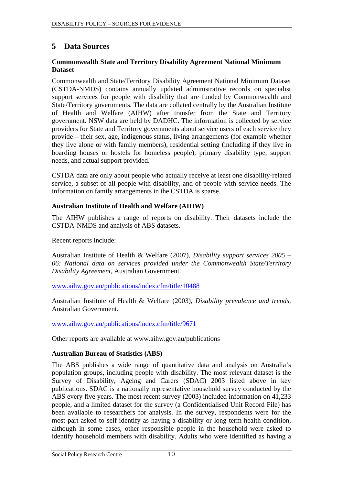# <span id="page-14-0"></span>**5 Data Sources**

#### **Commonwealth State and Territory Disability Agreement National Minimum Dataset**

Commonwealth and State/Territory Disability Agreement National Minimum Dataset (CSTDA-NMDS) contains annually updated administrative records on specialist support services for people with disability that are funded by Commonwealth and State/Territory governments. The data are collated centrally by the Australian Institute of Health and Welfare (AIHW) after transfer from the State and Territory government. NSW data are held by DADHC. The information is collected by service providers for State and Territory governments about service users of each service they provide – their sex, age, indigenous status, living arrangements (for example whether they live alone or with family members), residential setting (including if they live in boarding houses or hostels for homeless people), primary disability type, support needs, and actual support provided.

CSTDA data are only about people who actually receive at least one disability-related service, a subset of all people with disability, and of people with service needs. The information on family arrangements in the CSTDA is sparse.

#### **Australian Institute of Health and Welfare (AIHW)**

The AIHW publishes a range of reports on disability. Their datasets include the CSTDA-NMDS and analysis of ABS datasets.

Recent reports include:

Australian Institute of Health & Welfare (2007), *Disability support services 2005 – 06: National data on services provided under the Commonwealth State/Territory Disability Agreement,* Australian Government.

[www.aihw.gov.au/publications/index.cfm/title/10488](http://www.aihw.gov.au/publications/index.cfm/title/10488)

Australian Institute of Health & Welfare (2003), *Disability prevalence and trends,*  Australian Government.

[www.aihw.gov.au/publications/index.cfm/title/9671](http://www.aihw.gov.au/publications/index.cfm/title/9671)

Other reports are available at [www.aihw.gov.au/publications](http://www.aihw.gov.au/publications) 

#### **Australian Bureau of Statistics (ABS)**

The ABS publishes a wide range of quantitative data and analysis on Australia's population groups, including people with disability. The most relevant dataset is the Survey of Disability, Ageing and Carers (SDAC) 2003 listed above in key publications. SDAC is a nationally representative household survey conducted by the ABS every five years. The most recent survey (2003) included information on 41,233 people, and a limited dataset for the survey (a Confidentialised Unit Record File) has been available to researchers for analysis. In the survey, respondents were for the most part asked to self-identify as having a disability or long term health condition, although in some cases, other responsible people in the household were asked to identify household members with disability. Adults who were identified as having a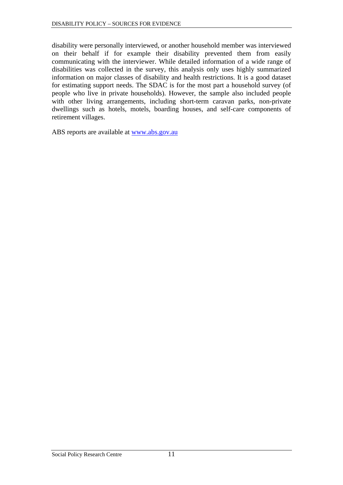disability were personally interviewed, or another household member was interviewed on their behalf if for example their disability prevented them from easily communicating with the interviewer. While detailed information of a wide range of disabilities was collected in the survey, this analysis only uses highly summarized information on major classes of disability and health restrictions. It is a good dataset for estimating support needs. The SDAC is for the most part a household survey (of people who live in private households). However, the sample also included people with other living arrangements, including short-term caravan parks, non-private dwellings such as hotels, motels, boarding houses, and self-care components of retirement villages.

ABS reports are available at [www.abs.gov.au](http://www.abs.gov.au/)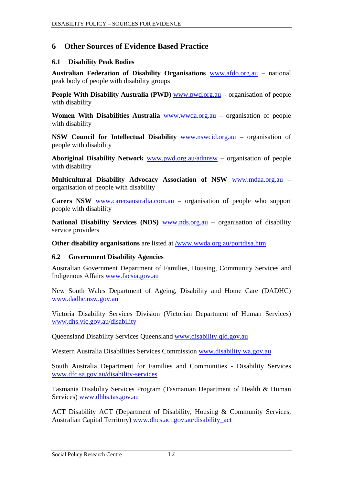# <span id="page-16-0"></span>**6 Other Sources of Evidence Based Practice**

#### **6.1 Disability Peak Bodies**

**Australian Federation of Disability Organisations** [www.afdo.org.au](http://www.afdo.org.au/) – national peak body of people with disability groups

**People With Disability Australia (PWD)** [www.pwd.org.au](http://www.pwd.org.au/) – organisation of people with disability

**Women With Disabilities Australia** [www.wwda.org.au](http://www.wwda.org.au/) – organisation of people with disability

**NSW Council for Intellectual Disability** [www.nswcid.org.au](http://www.nswcid.org.au/) – organisation of people with disability

**Aboriginal Disability Network** [www.pwd.org.au/adnnsw](http://www.pwd.org.au/adnnsw) – organisation of people with disability

**Multicultural Disability Advocacy Association of NSW** [www.mdaa.org.au](http://www.mdaa.org.au/) – organisation of people with disability

**Carers NSW** [www.carersaustralia.com.au](http://www.carersaustralia.com.au/) – organisation of people who support people with disability

National Disability Services (NDS) [www.nds.org.au](http://www.nds.org.au/) - organisation of disability service providers

**Other disability organisations** are listed at /www.wwda.org.au/portdisa.htm

#### **6.2 Government Disability Agencies**

Australian Government Department of Families, Housing, Community Services and Indigenous Affairs [www.facsia.gov.au](http://www.facsia.gov.au/)

New South Wales Department of Ageing, Disability and Home Care (DADHC) [www.dadhc.nsw.gov.au](http://www.dadhc.nsw.gov.au/)

Victoria Disability Services Division (Victorian Department of Human Services) [www.dhs.vic.gov.au/disability](http://www.dhs.vic.gov.au/disability)

Queensland Disability Services Queensland [www.disability.qld.gov.au](http://www.disability.qld.gov.au/)

Western Australia Disabilities Services Commission [www.disability.wa.gov.au](http://www.disability.wa.gov.au/)

South Australia Department for Families and Communities - Disability Services [www.dfc.sa.gov.au/disability-services](http://www.dfc.sa.gov.au/disability-services)

Tasmania Disability Services Program (Tasmanian Department of Health & Human Services) [www.dhhs.tas.gov.au](http://www.dhhs.tas.gov.au/)

ACT Disability ACT (Department of Disability, Housing & Community Services, Australian Capital Territory) [www.dhcs.act.gov.au/disability\\_act](http://www.dhcs.act.gov.au/disability_act)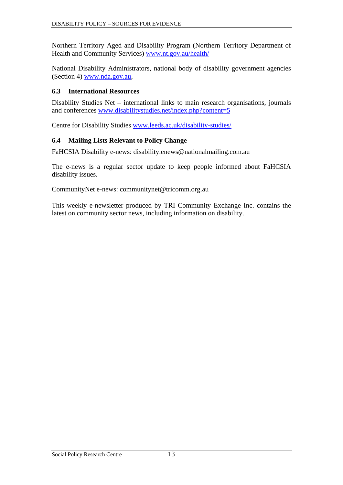<span id="page-17-0"></span>Northern Territory Aged and Disability Program (Northern Territory Department of Health and Community Services) [www.nt.gov.au/health/](http://www.nt.gov.au/health/)

National Disability Administrators, national body of disability government agencies (Section [4\)](#page-12-1) [www.nda.gov.au,](http://www.nda.gov.au/)

#### **6.3 International Resources**

Disability Studies Net – international links to main research organisations, journals and conferences [www.disabilitystudies.net/index.php?content=5](http://www.disabilitystudies.net/index.php?content=5) 

Centre for Disability Studies [www.leeds.ac.uk/disability-studies/](http://www.leeds.ac.uk/disability-studies/) 

#### **6.4 Mailing Lists Relevant to Policy Change**

FaHCSIA Disability e-news: [disability.enews@nationalmailing.com.au](mailto:disability.enews@nationalmailing.com.au) 

The e-news is a regular sector update to keep people informed about FaHCSIA disability issues.

CommunityNet e-news: [communitynet@tricomm.org.au](mailto:communitynet@tricomm.org.au) 

This weekly e-newsletter produced by TRI Community Exchange Inc. contains the latest on community sector news, including information on disability.